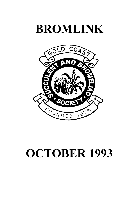# **BROMLINK**



# **OCTOBER 1993**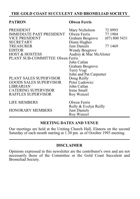#### **THE GOLD COAST SUCCULENT AND BROMELIAD SOCIETY**

#### **PATRON Olwen Ferris**

| <b>PRESIDENT</b>                 | Mary Nicholson         | 72 0993       |  |  |  |  |
|----------------------------------|------------------------|---------------|--|--|--|--|
| IMMEDIATE PAST PRESIDENT         | Olwen Ferris           | 77 1904       |  |  |  |  |
| <b>VICE PRESIDENT</b>            | Graham Besgrove        | (07) 800 5431 |  |  |  |  |
| <b>SECRETARY</b>                 | Diana Hughes           |               |  |  |  |  |
| <b>TREASURER</b>                 | Jum Daniels            | 77 1469       |  |  |  |  |
| <b>EDITOR</b>                    | <b>Wendy Besgrove</b>  |               |  |  |  |  |
| <b>HOST &amp; HOSTESS</b>        | Audrey & Mac McAlister |               |  |  |  |  |
| PLANT SUB-COMMITTEE Olwen Ferris |                        |               |  |  |  |  |
|                                  | John Catlan            |               |  |  |  |  |
|                                  | Graham Besgrove        |               |  |  |  |  |
|                                  | Terry Vogt             |               |  |  |  |  |
|                                  | John and Pat Carpenter |               |  |  |  |  |
| PLANT SALES SUPERVISOR           | Doug Reilly            |               |  |  |  |  |
| <b>GOODS SALES SUPERVISOR</b>    | Peter Ludowici         |               |  |  |  |  |
| <b>LIBRARIAN</b>                 | John Catlan            |               |  |  |  |  |
| <b>CATERING SUPERVISOR</b>       | Irene Small            |               |  |  |  |  |
| <b>RAFFLES SUPERVISOR</b>        | Roy Wenzel             |               |  |  |  |  |
| <b>LIFE MEMBERS</b>              | Olwen Ferris           |               |  |  |  |  |
|                                  | Rolly & Evelyn Reilly  |               |  |  |  |  |
| <b>HONORARY MEMBERS</b>          | Jum Daniels            |               |  |  |  |  |
|                                  | Roy Wenzel             |               |  |  |  |  |

#### **MEETING DATES AND VENUE**

Our meetings are held at the Uniting Church Hall, Elanora on the second Saturday of each month starting at 1.30 pm. as of October 1993 meeting.

#### **DISCLAIMER**

Opinions expressed in this newsletter are the contributor's own and are not necessarily those of the Committee or the Gold Coast Succulent and Bromeliad Society.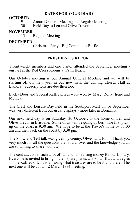#### **DATES FOR YOUR DIARY**

#### **OCTOBER**

- 9 Annual General Meeting and Regular Meeting<br>30 Field Day to Len and Olive Trevor
- Field Day to Len and Olive Trevor

## **NOVEMBER**

Regular Meeting

## **DECEMBER**

11 Christmas Party - Big Continuous Raffle

#### **PRESIDENT'S REPORT**

Twenty-eight members and one visitor attended the September meeting our last at the Red Cross Rooms at Palm Beach.

Our October meeting is our Annual General Meeting and we will be starting off our new year in our new hall, the Uniting Church Hall at Elanora. Subscriptions are due then too.

Lucky Door and Special Raffle prizes were won by Mary, Rolly, Irene and Monica.

The Craft and Leisure Day held in the Southport Mall on 16 September was very different from our usual displays - more later in Bromlink.

Our next field day is on Saturday, 30 October, to the home of Len and Olive Trevor in Brisbane. Some of us will be going by bus. The first pickup on the coast is 9.30 am. We hope to be at the Trevor's home by  $11.00$ am and then back on the coast by 3.30 pm.

The Show and Tell talk was given by Genny, Olwen and John. Thank you very much for all the questions that you answer and the knowledge you all are so willing to share with us.

The cent auction is such a lot of fun and it is raising money for our Library. Everyone is invited to bring in their spare plants, any kind - fruit and vegies - to be Raffled off. It is amazing what treasures are to be found there. The next one will be at our 12 March 1994 meeting.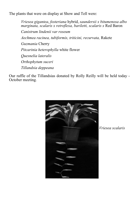The plants that were on display at Show and Tell were:

*Vriesea gigantea*, *fosteriana* hybrid, *saundersii x bitumenosa albo marginata, scalaris x retroflexa, bariletti, scalaris x* Red Baron *Canistrum lindenii var roseum Aechmea racinea, tubiformis, triticini, recurvata,* Rakete *Guzmania* Cherry *Pitcarinia heterophylla* white flower *Quesnelia lateralis Orthophytum suceri Tillandsia deppeana*

Our raffle of the Tillandsias donated by Rolly Reilly will be held today - October meeting.



 *Vriesea scalaris*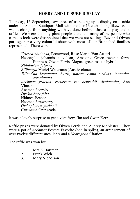#### **HOBBY AND LEISURE DISPLAY**

Thursday, 16 September, saw three of us setting up a display on a table under the Sails in Southport Mall with another 16 clubs doing likewise. It was a change from anything we have done before. Just a display and a raffle. We were the only plant people there and many of the people who came to look were disappointed that we were not selling. Bev and Olwen put together a very colourful show with most of our Bromeliad families represented. There were:

*Vriesea glutinosa*, Brentwood, Rose Marie, Van Ackeri Neoregelia johannis x vulcan, Amazing Grace reverse form, Empress, Olwen Ferris, Magna, green rosette hybrid *Nidularium fulgens Billbergia* Muriel Waterman (Aussie clone) *Tillandsia leonanana, butzii, juncea, caput medusa, ionantha, complanata Aechmea gracilis, recurvata var benrathii, disticantha*, Ann Vincent Anamea Scorpio *Dyckia brevifolia* Nidmea Beacon Neomea Strawberry *Orthophytum gurkenii Guzmania* Orangeade.

It was a lovely surprise to get a visit from Jim and Gwen Kerr.

Raffle prizes were donated by Olwen Ferris and Audrey McAlister. They were a pot of *Aechmea* Fosters Favorite (one in spike), an arrangement of over twelve different succulents and a *Neoregelia* Citation.

The raffle was won by:

- 1. Mrs K Hartman<br>2. Frank Wich
- 2. Frank Wich<br>3 Mary Nicho
- Mary Nicholson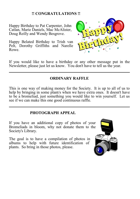#### **!! CONGRATULATIONS !!**

Happy Birthday to Pat Carpenter, John Catlan, Marie Daniels, Mac McAlister, Doug Reilly and Wendy Besgrove.

Happy Belated Birthday to Trish van Pelt, Dorothy Griffiths and Narelle Rowe.



If you would like to have a birthday or any other message put in the Newsletter, please just let us know. You don't have to tell us the year.

#### **ORDINARY RAFFLE**

This is one way of making money for the Society. It is up to all of us to help by bringing in some plant/s when we have extra ones. It doesn't have to be a bromeliad, just something you would like to win yourself. Let us see if we can make this one good continuous raffle.

#### **PHOTOGRAPH APPEAL**

If you have an additional copy of photos of your Bromeliads in bloom, why not donate them to the Society's Library.

The goal is to have a compilation of photos in albums to help with future identification of plants. So bring in those photos, please.

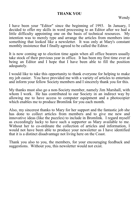#### **THANK YOU**

Wendy

I have been your "Editor" since the beginning of 1993. In January, I decided to offer my skills in word processing to an Editor after we had a little difficulty appointing one on the basis of technical resources. My intention was to merely type and arrange the articles from members into something that looked like a newsletter. It was only at Mary's constant monthly insistence that I finally agreed to be called the Editor.

It is now coming up to election time again when all office bearers usually take stock of their previous year in office. It has been my first time ever at being an Editor and I hope that I have been able to fill the position adequately.

I would like to take this opportunity to thank everyone for helping to make my job easier. You have provided me with a variety of articles to entertain and inform your fellow Society members and I sincerely thank you for this.

My thanks must also go a non-Society member, namely Jim Marshall, with whom I work. He has contributed to our Society in an indirect way by allowing me to have access to computer equipment and a photocopier which enables me to produce Bromlink for you each month.

Also, my sincerest thanks to Mary for her support and the fantastic job she has done to collect articles from members and to give me new and innovative ideas (like the puzzles) to include in Bromlink. I regard myself as exceedingly lucky to have such a supporter as Mary available to me. Without her to co-ordinate the collection of articles and information, I would not have been able to produce your newsletter as I have identified that it is a distinct disadvantage not living here on the Coast.

Thank you also to you, the members, for your encouraging feedback and suggestions. Without you, this newsletter would not exist.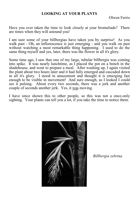#### **LOOKING AT YOUR PLANTS**

Olwen Ferris

Have you ever taken the time to look closely at your bromeliads? There are times when they will astound you!

I am sure some of your billbergias have taken you by surprise! As you walk past - Oh, an inflorescence is just emerging - and you walk on past without watching a most remarkable thing happening. I used to do the same thing myself and yes, later, there was the flower in all it's glory.

Some time ago, I saw that one of my large, tubular billbergia was coming into spike. It was nearly lunchtime, as I placed the pot on a bench in the shadehouse, and went to prepare a meal. After washing up, I again visited the plant about two hours later and it had fully emerged and cascaded down in all it's glory. I stood in amazement and thought it is emerging fast enough to be visible in movement! And sure enough, as I looked I could see it pulsing. About every two seconds, there was a jerk and another couple of seconds another jerk. Yes, it was moving.

I have since shown this to other people, so this was not a once-only sighting. Your plants can tell you a lot, if you take the time to notice them.



*Billbergia zebrina*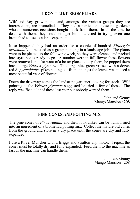#### **I DON'T LIKE BROMELIADS**

Wilf and Roy grow plants and, amongst the various groups they are interested in, are bromeliads. They had a particular landscape gardener who on numerous occasions bought stock from them. In all the time he dealt with them, they could not get him interested in trying even one bromeliad to use as a landscape plant.

It so happened they had an order for a couple of hundred *Billbergia pyramidalis* to be used as a group planting in a landscape job. The plants were to be picked up the following week, so they were cleaned and packed into styro boxes ready to go. A number were in full flower these flowers were removed and, for want of a better place to keep them, he popped them into a large *Vriesea gigantea*. This large blue-green vriesea with a dozen red *B. pyramidalis* spikes poking out from amongst the leaves was indeed a most beautiful vase of flowers.

Down the driveway comes the landscape gardener looking for stock. Wilf pointing at the *Vriesea gigantea* suggested he tried a few of those. The reply was "had a lot of those last year but nobody wanted them!!"

> John and Genny Mango Mansion 4208

#### **PINE CONES AND POTTING MIX**

The pine cones of *Pinas radiata* and their look alikes can be transformed into an ingredient of a bromeliad potting mix. Collect the mature old cones from the ground and store in a dry place until the cones are dry and fully expanded.

I use a Rover Muncher with a Briggs and Stratton 5hp motor. I repeat the cones must be totally dry and fully expanded. Feed them to the machine as fast as the machine can handle them.

> John and Genny Mango Mansion 4208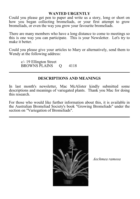#### **WANTED URGENTLY**

Could you please get pen to paper and write us a story, long or short on how you began collecting bromeliads, or your first attempt to grow bromeliads, or even the way you grow your favourite bromeliads.

There are many members who have a long distance to come to meetings so this is one way you can participate. This is your Newsletter. Let's try to make it better.

Could you please give your articles to Mary or alternatively, send them to Wendy at the following address:

c/- 19 Ellington Street<br>BROWNS PLAINS 0 4118 BROWNS PLAINS

#### **DESCRIPTIONS AND MEANINGS**

In last month's newsletter, Mac McAlister kindly submitted some descriptions and meanings of variegated plants. Thank you Mac for doing this research.

For those who would like further information about this, it is available in the Australian Bromeliad Society's book "Growing Bromeliads" under the section on "Variegation of Bromeliads".



*Aechmea ramosa*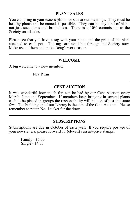#### **PLANT SALES**

You can bring in your excess plants for sale at our meetings. They must be healthy plants and be named, if possible. They can be any kind of plant, not just succulents and bromeliads. There is a 10% commission to the Society on all sales.

Please see that you have a tag with your name and the price of the plant attached to each pot. The tags are available through the Society now. Make use of them and make Doug's work easier.

#### **WELCOME**

A big welcome to a new member:

Nev Ryan

#### **CENT AUCTION**

It was wonderful how much fun can be had by our Cent Auction every March, June and September. If members keep bringing in several plants each to be placed in groups the responsibility will be less of just the same few. The building up of our Library is the aim of the Cent Auction. Please remember to retain No. 1 ticket for the draw.

#### **SUBSCRIPTIONS**

Subscriptions are due in October of each year. If you require postage of your newsletters, please forward 11 (eleven) current-price stamps.

Family - \$6.00 Single - \$4.00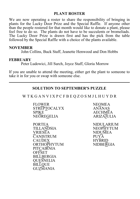#### **PLANT ROSTER**

We are now operating a roster to share the responsibility of bringing in plants for the Lucky Door Prize and the Special Raffle. If anyone other than the people rostered for that month would like to donate a plant, please feel free to do so. The plants do not have to be succulents or bromeliads. The Lucky Door Prize is drawn first and has the pick from the table followed by the Special Raffle with a choice of the plants available.

#### **NOVEMBER**

John Collins, Buck Staff, Jeanette Henwood and Don Hobbs

#### **FEBRUARY**

Peter Ludowici, Jill Surch, Joyce Staff, Gloria Morrow

If you are unable to attend the meeting, either get the plant to someone to take it in for you or swap with someone else.

#### **SOLUTION TO SEPTEMBER'S PUZZLE**

W T K G A N V I X P C F B E Q Z O S M J L H U Y D R

FLOWER<br>STREPTOCALYX ANANAS STREPTOCALYX<br>SPIKE  $NEOREGELIA$ 

PORTE<u>A</u><br>TILLANDSIA NEOPHYTUM TILLANDSIA NEOPHYTUM<br>VRIESEA NIDUMEA  $\overline{C}$ ANISTRUM PUYA<br>CAUDEX HYBRID CAUDEX HYBRID<br>
ORTHOPHYTUM NIDBERGIA ORTHOPHYTUM **PITCAIRNIA OFFSET** BILLBERGIA **QUESNELIA BILLOUE GUZMANIA** 

AECHMEA<br>ARIZAJULIA

NID<u>U</u>MEA<br>PUYA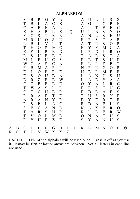### **ALPHABROM**

|   |   | S<br>$\mathbf T$<br>$\mathcal{C}$<br>E<br>$\boldsymbol{\mathrm{F}}$<br>M<br>L<br>$\mathbf T$<br>E<br>$\mathbb{R}$<br>M<br>W<br>F<br>E<br>E<br>D<br>$\mathcal{C}$<br>$\mathbf T$<br>$\mathcal{C}$<br>${\bf P}$<br>$\mathbf{A}$<br>$\mathbf P$<br>S<br>$\mathbf T$<br>$\mathbf T$ | B<br>B<br>A<br>Η<br>$\overline{O}$<br>$\mathbb{R}$<br>B<br>Η<br>F<br>S<br>L<br>$\mathcal{C}$<br>B<br>L<br>${\bf S}$<br>R<br>$\mathbf{O}$<br>W<br>$\mathbf T$<br>$\mathbf R$<br>$\mathbf R$<br>S<br>E<br>A<br>$\boldsymbol{\mathrm{V}}$ | P<br>L<br>$\boldsymbol{\mathrm{F}}$<br>A<br>S<br>U<br>I<br>$\overline{O}$<br>$\mathbf I$<br>U<br>E<br>A<br>M<br>$\mathbf O$<br>$\overline{O}$<br>Z<br>$\boldsymbol{\mathrm{F}}$<br>$\mathbf{A}$<br>$\mathcal{C}$<br>A<br>A<br>P<br>$\mathcal{C}$<br>R<br>$\overline{O}$ | G<br>A<br>E<br>R<br>T<br>$\mathbf{O}$<br>$\mathbf V$<br>${\bf S}$<br>R<br>P<br>K<br>S<br>A<br>$\mathbf{P}$<br>U<br>P<br>${\bf F}$<br>S<br>H<br>E<br>$\mathbf N$<br>L<br>A<br>${\bf S}$<br>I | Y<br>$\mathcal{C}$<br>A<br>L<br>E<br>S<br>$\mathbf I$<br>M<br>E<br>${\bf E}$<br>$\mathcal{C}$<br>$\mathcal{C}$<br>$\mathbf R$<br>${\bf P}$<br>B<br>E<br>E<br>$\mathbf I$<br>E<br>$\mathbf T$<br>Y<br>A<br>${\bf N}$<br>U<br>M | A<br>K<br>U<br>E<br>$\mathbb{R}$<br>U<br>T<br>O<br>D<br>R<br>${\bf S}$<br>A<br>$\mathbf I$<br>E<br>A<br>W<br>Ε<br>L<br>R<br>E<br>$\mathbf R$<br>$\mathcal{C}$<br>D<br>R<br>D | Q |         | A<br>A<br>A<br>U<br>A<br>E<br>A<br>E<br>I<br>T<br>E<br>E<br>N<br>Η<br>I<br>L<br>$\overline{O}$<br>E<br>E<br>T<br>B<br>R<br>K<br>R<br>O | U<br>G<br>I<br>$\overline{I}$<br>N<br>$\mathbf R$<br>$\mathbf T$<br>Y<br>$\mathbf R$<br>A<br>E<br>L<br>R<br>E<br>$\mathbf{A}$<br>$\mathbf{A}$<br>Y<br>$\mathbf R$<br>D<br>U<br>Y<br>D<br>$\mathbf{A}$<br>$\mathbf I$<br>N | L<br>$\mathbf I$<br>$\mathbf T$<br>N<br>U<br>S<br>U<br>Y<br>D<br>$\mathbb{R}$<br>$\mathbf T$<br>I<br>U<br>$\mathbf I$<br>N<br>D<br>A<br>S<br>D<br>S<br>E<br>A<br>Y<br>D<br>A | I<br>$\mathcal{C}$<br>E<br>S<br>S<br>$\mathbf T$<br>${\bf S}$<br>M<br>$\bf{I}$<br>S<br>S<br>${\bf F}$<br>G<br>M<br>U<br>Y<br>L<br>$\mathcal{O}$<br>A<br>$\mathbf R$<br>$\mathbf R$<br>E<br>E<br>E<br>$\mathbf T$ | ${\bf S}$<br>P<br>E<br>$\mathbf Y$<br>Η<br>A<br>$\mathbf{O}$<br>$\mathcal{C}$<br>$\mathbf R$<br>T<br>U<br>P<br>$\overline{O}$<br>E<br>${\bf S}$<br>A<br>R<br>N<br>Ε<br>Y<br>T<br>I<br>R<br>R<br>$\mathbf U$ | ${\bf S}$<br>${\bf E}$<br>$\mathcal{C}$<br>$\mathbf{O}$<br>$\mathbf U$<br>$\mathbf R$<br>$\mathbf R$<br>A<br>$\mathcal{O}$<br>A<br>${\bf E}$<br>$\mathbf T$<br>$\mathbf R$<br>${\bf R}$<br>$H_{\rm}$<br>$\mathbf{A}$<br>$\mathbf C$<br>G<br>${\bf S}$<br>E<br>$\mathbf R$<br>${\bf S}$<br>$\mathcal{O}$<br>W<br>S |   |
|---|---|---------------------------------------------------------------------------------------------------------------------------------------------------------------------------------------------------------------------------------------------------------------------------------|----------------------------------------------------------------------------------------------------------------------------------------------------------------------------------------------------------------------------------------|-------------------------------------------------------------------------------------------------------------------------------------------------------------------------------------------------------------------------------------------------------------------------|---------------------------------------------------------------------------------------------------------------------------------------------------------------------------------------------|-------------------------------------------------------------------------------------------------------------------------------------------------------------------------------------------------------------------------------|------------------------------------------------------------------------------------------------------------------------------------------------------------------------------|---|---------|----------------------------------------------------------------------------------------------------------------------------------------|---------------------------------------------------------------------------------------------------------------------------------------------------------------------------------------------------------------------------|------------------------------------------------------------------------------------------------------------------------------------------------------------------------------|------------------------------------------------------------------------------------------------------------------------------------------------------------------------------------------------------------------|-------------------------------------------------------------------------------------------------------------------------------------------------------------------------------------------------------------|-------------------------------------------------------------------------------------------------------------------------------------------------------------------------------------------------------------------------------------------------------------------------------------------------------------------|---|
| Α | B | $\mathbf F$<br>$\mathcal{C}$                                                                                                                                                                                                                                                    | Y<br>D                                                                                                                                                                                                                                 | H<br>E                                                                                                                                                                                                                                                                  | E<br>$\boldsymbol{\mathrm{F}}$                                                                                                                                                              | Z<br>G                                                                                                                                                                                                                        | E<br>H                                                                                                                                                                       | I | $\bf J$ | S<br>K                                                                                                                                 | $\mathbf Y$<br>L                                                                                                                                                                                                          | A<br>M                                                                                                                                                                       | $\mathbf N$<br>N                                                                                                                                                                                                 | U<br>O                                                                                                                                                                                                      | S<br>P                                                                                                                                                                                                                                                                                                            | Q |
| R | S | $\mathbf T$                                                                                                                                                                                                                                                                     | U                                                                                                                                                                                                                                      | V                                                                                                                                                                                                                                                                       | W                                                                                                                                                                                           | X                                                                                                                                                                                                                             | Y                                                                                                                                                                            | Z |         |                                                                                                                                        |                                                                                                                                                                                                                           |                                                                                                                                                                              |                                                                                                                                                                                                                  |                                                                                                                                                                                                             |                                                                                                                                                                                                                                                                                                                   |   |

EACH LETTER of the alphabet will be used once. Cross it off as you use it. It may be first or last or anywhere between. Not all letters in each line are used.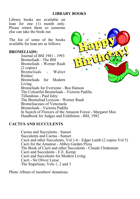Library books are available on loan for one (1) month only. Please return them so someone else can take the book out.

The list of some of the books available for loan are as follows:

#### **BROMELIADS:**

Journal of BSI 1981 - 1993 Bromeliads - The BSI Bromeliads - Werner Rauh (2 copies) Bromeliads - Walter Richter Bromeliads for Modern Living Bromeliads for Everyone - Bea Hanson The Colourful Bromeliads - Victoria Padilla Tillandsias - Paul Isley The Bromeliad Lexicon - Werner Rauh Bromeliaceaes of Venezuela Bromeliads - Victoria Padilla In Search of Flowers of the Amazon Forest - Margaret Mee Handbook for Judges and Exhibitors - BSI, 1982

### **CACTUS AND SUCCULENTS**

Cactus and Succulents - Sunset Succulents and Cactus - Sunset Cacti and other Succulents, Vol 1-6 - Edgar Lamb (2 copies Vol 5) Cacti for the Amateur - Abbey Garden Press The Book of Cacti and other Succulents - Claude Chidamian Cacti and Succulents - E.E. Kemp Cacti and Succulents for Modern Living Cacti - Sir Oliver Leese The Stapelieae, Vols 1, 2 and 3

Photo Album of members' donations.

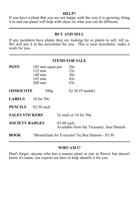#### **HELP?**

If you have a plant that you are not happy with the way it is growing, bring it in and our panel will help with ideas on what you can do different.

#### **BUY AND SELL**

If any members have plants they are looking for or plants to sell, tell us. We will put it in the newsletter for you. This is your newsletter, make it work for you.

| <b>ITEMS FOR SALE</b> |                                                                                        |                                                          |                                 |  |  |  |  |
|-----------------------|----------------------------------------------------------------------------------------|----------------------------------------------------------|---------------------------------|--|--|--|--|
| <b>POTS</b>           | 105 mm squat pot<br>$125 \text{ mm}$<br>140 mm<br>$165 \text{ mm}$<br>$200 \text{ mm}$ |                                                          | 20c<br>25c<br>30c<br>45c<br>65c |  |  |  |  |
| <b>OSMOCOTE</b>       | 500 <sub>g</sub>                                                                       |                                                          | \$2.50 $(9$ month)              |  |  |  |  |
| <b>LABELS</b>         | $10$ for $50c$                                                                         |                                                          |                                 |  |  |  |  |
| <b>PENCILS</b>        | \$2.50 each                                                                            |                                                          |                                 |  |  |  |  |
| <b>SALES STICKERS</b> |                                                                                        | $5¢$ each or 10 for $50¢$                                |                                 |  |  |  |  |
| <b>SOCIETY BADGES</b> |                                                                                        | \$3.00 each<br>Available from the Treasurer, Jum Daniels |                                 |  |  |  |  |
| <b>BOOK</b>           | "Bromeliads for Everyone" by Bea Hanson - \$3.50                                       |                                                          |                                 |  |  |  |  |

#### **WHO AM I?**

Don't forget, anyone who has a mature plant or one in flower but doesn't know it's name, our experts are here to help identify it for you.